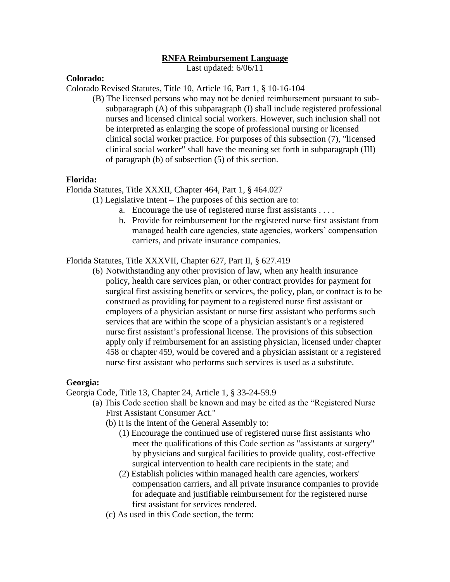# **RNFA Reimbursement Language**

Last updated: 6/06/11

# **Colorado:**

Colorado Revised Statutes, Title 10, Article 16, Part 1, § 10-16-104

(B) The licensed persons who may not be denied reimbursement pursuant to subsubparagraph (A) of this subparagraph (I) shall include registered professional nurses and licensed clinical social workers. However, such inclusion shall not be interpreted as enlarging the scope of professional nursing or licensed clinical social worker practice. For purposes of this subsection (7), "licensed clinical social worker" shall have the meaning set forth in subparagraph (III) of paragraph (b) of subsection (5) of this section.

## **Florida:**

Florida Statutes, Title XXXII, Chapter 464, Part 1, § 464.027

(1) Legislative Intent – The purposes of this section are to:

- a. Encourage the use of registered nurse first assistants . . . .
- b. Provide for reimbursement for the registered nurse first assistant from managed health care agencies, state agencies, workers' compensation carriers, and private insurance companies.

Florida Statutes, Title XXXVII, Chapter 627, Part II, § 627.419

(6) Notwithstanding any other provision of law, when any health insurance policy, health care services plan, or other contract provides for payment for surgical first assisting benefits or services, the policy, plan, or contract is to be construed as providing for payment to a registered nurse first assistant or employers of a physician assistant or nurse first assistant who performs such services that are within the scope of a physician assistant's or a registered nurse first assistant's professional license. The provisions of this subsection apply only if reimbursement for an assisting physician, licensed under chapter 458 or chapter 459, would be covered and a physician assistant or a registered nurse first assistant who performs such services is used as a substitute.

## **Georgia:**

Georgia Code, Title 13, Chapter 24, Article 1, § 33-24-59.9

- (a) This Code section shall be known and may be cited as the "Registered Nurse First Assistant Consumer Act."
	- (b) It is the intent of the General Assembly to:
		- (1) Encourage the continued use of registered nurse first assistants who meet the qualifications of this Code section as "assistants at surgery" by physicians and surgical facilities to provide quality, cost-effective surgical intervention to health care recipients in the state; and
		- (2) Establish policies within managed health care agencies, workers' compensation carriers, and all private insurance companies to provide for adequate and justifiable reimbursement for the registered nurse first assistant for services rendered.
	- (c) As used in this Code section, the term: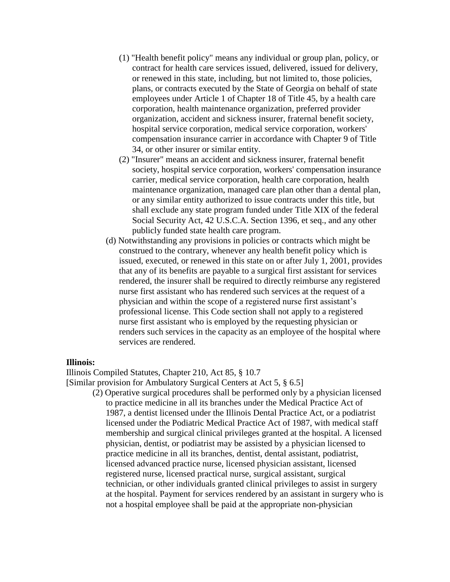- (1) "Health benefit policy" means any individual or group plan, policy, or contract for health care services issued, delivered, issued for delivery, or renewed in this state, including, but not limited to, those policies, plans, or contracts executed by the State of Georgia on behalf of state employees under Article 1 of Chapter 18 of Title 45, by a health care corporation, health maintenance organization, preferred provider organization, accident and sickness insurer, fraternal benefit society, hospital service corporation, medical service corporation, workers' compensation insurance carrier in accordance with Chapter 9 of Title 34, or other insurer or similar entity.
- (2) "Insurer" means an accident and sickness insurer, fraternal benefit society, hospital service corporation, workers' compensation insurance carrier, medical service corporation, health care corporation, health maintenance organization, managed care plan other than a dental plan, or any similar entity authorized to issue contracts under this title, but shall exclude any state program funded under Title XIX of the federal Social Security Act, 42 U.S.C.A. Section 1396, et seq., and any other publicly funded state health care program.
- (d) Notwithstanding any provisions in policies or contracts which might be construed to the contrary, whenever any health benefit policy which is issued, executed, or renewed in this state on or after July 1, 2001, provides that any of its benefits are payable to a surgical first assistant for services rendered, the insurer shall be required to directly reimburse any registered nurse first assistant who has rendered such services at the request of a physician and within the scope of a registered nurse first assistant's professional license. This Code section shall not apply to a registered nurse first assistant who is employed by the requesting physician or renders such services in the capacity as an employee of the hospital where services are rendered.

#### **Illinois:**

Illinois Compiled Statutes, Chapter 210, Act 85, § 10.7

[Similar provision for Ambulatory Surgical Centers at Act 5, § 6.5]

(2) Operative surgical procedures shall be performed only by a physician licensed to practice medicine in all its branches under the Medical Practice Act of 1987, a dentist licensed under the Illinois Dental Practice Act, or a podiatrist licensed under the Podiatric Medical Practice Act of 1987, with medical staff membership and surgical clinical privileges granted at the hospital. A licensed physician, dentist, or podiatrist may be assisted by a physician licensed to practice medicine in all its branches, dentist, dental assistant, podiatrist, licensed advanced practice nurse, licensed physician assistant, licensed registered nurse, licensed practical nurse, surgical assistant, surgical technician, or other individuals granted clinical privileges to assist in surgery at the hospital. Payment for services rendered by an assistant in surgery who is not a hospital employee shall be paid at the appropriate non-physician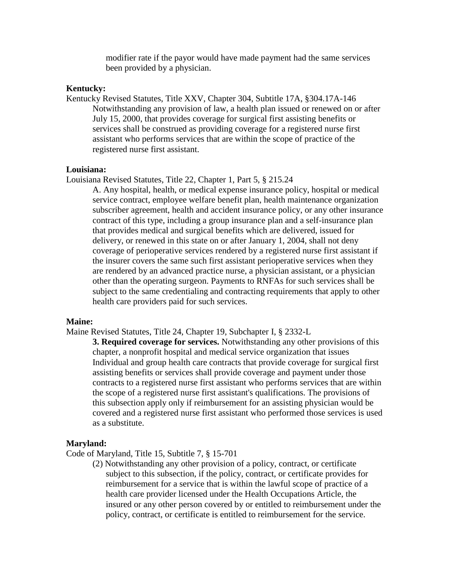modifier rate if the payor would have made payment had the same services been provided by a physician.

## **Kentucky:**

Kentucky Revised Statutes, Title XXV, Chapter 304, Subtitle 17A, §304.17A-146 Notwithstanding any provision of law, a health plan issued or renewed on or after July 15, 2000, that provides coverage for surgical first assisting benefits or services shall be construed as providing coverage for a registered nurse first assistant who performs services that are within the scope of practice of the registered nurse first assistant.

## **Louisiana:**

Louisiana Revised Statutes, Title 22, Chapter 1, Part 5, § 215.24

A. Any hospital, health, or medical expense insurance policy, hospital or medical service contract, employee welfare benefit plan, health maintenance organization subscriber agreement, health and accident insurance policy, or any other insurance contract of this type, including a group insurance plan and a self-insurance plan that provides medical and surgical benefits which are delivered, issued for delivery, or renewed in this state on or after January 1, 2004, shall not deny coverage of perioperative services rendered by a registered nurse first assistant if the insurer covers the same such first assistant perioperative services when they are rendered by an advanced practice nurse, a physician assistant, or a physician other than the operating surgeon. Payments to RNFAs for such services shall be subject to the same credentialing and contracting requirements that apply to other health care providers paid for such services.

#### **Maine:**

Maine Revised Statutes, Title 24, Chapter 19, Subchapter I, § 2332-L

**3. Required coverage for services.** Notwithstanding any other provisions of this chapter, a nonprofit hospital and medical service organization that issues Individual and group health care contracts that provide coverage for surgical first assisting benefits or services shall provide coverage and payment under those contracts to a registered nurse first assistant who performs services that are within the scope of a registered nurse first assistant's qualifications. The provisions of this subsection apply only if reimbursement for an assisting physician would be covered and a registered nurse first assistant who performed those services is used as a substitute.

### **Maryland:**

Code of Maryland, Title 15, Subtitle 7, § 15-701

(2) Notwithstanding any other provision of a policy, contract, or certificate subject to this subsection, if the policy, contract, or certificate provides for reimbursement for a service that is within the lawful scope of practice of a health care provider licensed under the Health Occupations Article, the insured or any other person covered by or entitled to reimbursement under the policy, contract, or certificate is entitled to reimbursement for the service.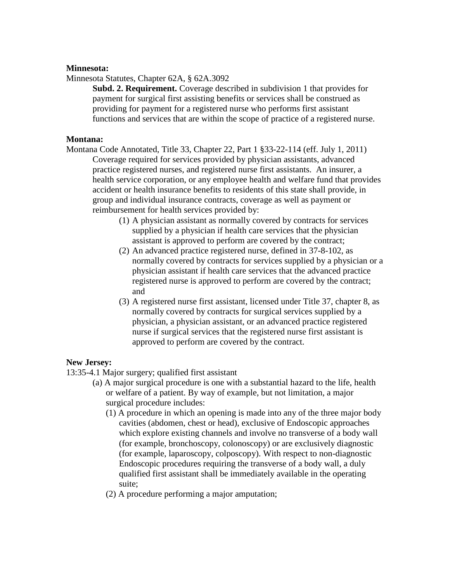# **Minnesota:**

Minnesota Statutes, Chapter 62A, § 62A.3092

**Subd. 2. Requirement.** Coverage described in subdivision 1 that provides for payment for surgical first assisting benefits or services shall be construed as providing for payment for a registered nurse who performs first assistant functions and services that are within the scope of practice of a registered nurse.

# **Montana:**

- Montana Code Annotated, Title 33, Chapter 22, Part 1 §33-22-114 (eff. July 1, 2011) Coverage required for services provided by physician assistants, advanced practice registered nurses, and registered nurse first assistants. An insurer, a health service corporation, or any employee health and welfare fund that provides accident or health insurance benefits to residents of this state shall provide, in group and individual insurance contracts, coverage as well as payment or reimbursement for health services provided by:
	- (1) A physician assistant as normally covered by contracts for services supplied by a physician if health care services that the physician assistant is approved to perform are covered by the contract;
	- (2) An advanced practice registered nurse, defined in 37-8-102, as normally covered by contracts for services supplied by a physician or a physician assistant if health care services that the advanced practice registered nurse is approved to perform are covered by the contract; and
	- (3) A registered nurse first assistant, licensed under Title 37, chapter 8, as normally covered by contracts for surgical services supplied by a physician, a physician assistant, or an advanced practice registered nurse if surgical services that the registered nurse first assistant is approved to perform are covered by the contract.

# **New Jersey:**

13:35-4.1 Major surgery; qualified first assistant

- (a) A major surgical procedure is one with a substantial hazard to the life, health or welfare of a patient. By way of example, but not limitation, a major surgical procedure includes:
	- (1) A procedure in which an opening is made into any of the three major body cavities (abdomen, chest or head), exclusive of Endoscopic approaches which explore existing channels and involve no transverse of a body wall (for example, bronchoscopy, colonoscopy) or are exclusively diagnostic (for example, laparoscopy, colposcopy). With respect to non-diagnostic Endoscopic procedures requiring the transverse of a body wall, a duly qualified first assistant shall be immediately available in the operating suite;
	- (2) A procedure performing a major amputation;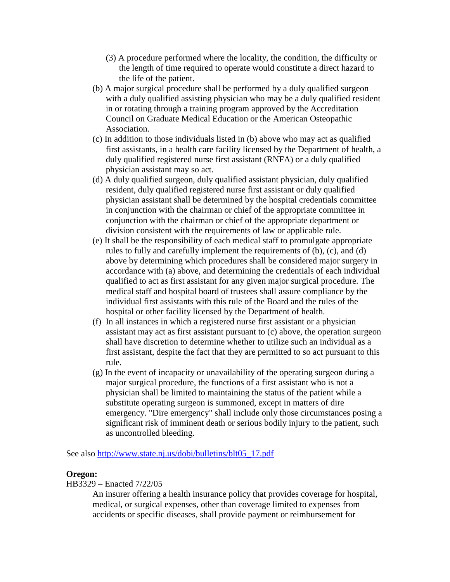- (3) A procedure performed where the locality, the condition, the difficulty or the length of time required to operate would constitute a direct hazard to the life of the patient.
- (b) A major surgical procedure shall be performed by a duly qualified surgeon with a duly qualified assisting physician who may be a duly qualified resident in or rotating through a training program approved by the Accreditation Council on Graduate Medical Education or the American Osteopathic Association.
- (c) In addition to those individuals listed in (b) above who may act as qualified first assistants, in a health care facility licensed by the Department of health, a duly qualified registered nurse first assistant (RNFA) or a duly qualified physician assistant may so act.
- (d) A duly qualified surgeon, duly qualified assistant physician, duly qualified resident, duly qualified registered nurse first assistant or duly qualified physician assistant shall be determined by the hospital credentials committee in conjunction with the chairman or chief of the appropriate committee in conjunction with the chairman or chief of the appropriate department or division consistent with the requirements of law or applicable rule.
- (e) It shall be the responsibility of each medical staff to promulgate appropriate rules to fully and carefully implement the requirements of (b), (c), and (d) above by determining which procedures shall be considered major surgery in accordance with (a) above, and determining the credentials of each individual qualified to act as first assistant for any given major surgical procedure. The medical staff and hospital board of trustees shall assure compliance by the individual first assistants with this rule of the Board and the rules of the hospital or other facility licensed by the Department of health.
- (f) In all instances in which a registered nurse first assistant or a physician assistant may act as first assistant pursuant to (c) above, the operation surgeon shall have discretion to determine whether to utilize such an individual as a first assistant, despite the fact that they are permitted to so act pursuant to this rule.
- $(g)$  In the event of incapacity or unavailability of the operating surgeon during a major surgical procedure, the functions of a first assistant who is not a physician shall be limited to maintaining the status of the patient while a substitute operating surgeon is summoned, except in matters of dire emergency. "Dire emergency" shall include only those circumstances posing a significant risk of imminent death or serious bodily injury to the patient, such as uncontrolled bleeding.

See also [http://www.state.nj.us/dobi/bulletins/blt05\\_17.pdf](http://www.state.nj.us/dobi/bulletins/blt05_17.pdf)

## **Oregon:**

HB3329 – Enacted 7/22/05

An insurer offering a health insurance policy that provides coverage for hospital, medical, or surgical expenses, other than coverage limited to expenses from accidents or specific diseases, shall provide payment or reimbursement for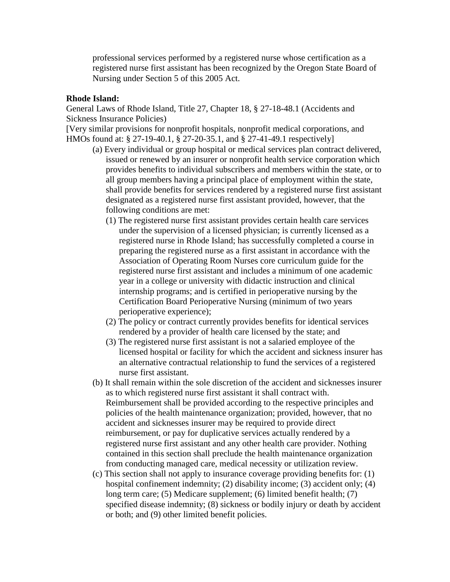professional services performed by a registered nurse whose certification as a registered nurse first assistant has been recognized by the Oregon State Board of Nursing under Section 5 of this 2005 Act.

# **Rhode Island:**

General Laws of Rhode Island, Title 27, Chapter 18, § 27-18-48.1 (Accidents and Sickness Insurance Policies)

[Very similar provisions for nonprofit hospitals, nonprofit medical corporations, and HMOs found at: § 27-19-40.1, § 27-20-35.1, and § 27-41-49.1 respectively]

- (a) Every individual or group hospital or medical services plan contract delivered, issued or renewed by an insurer or nonprofit health service corporation which provides benefits to individual subscribers and members within the state, or to all group members having a principal place of employment within the state, shall provide benefits for services rendered by a registered nurse first assistant designated as a registered nurse first assistant provided, however, that the following conditions are met:
	- (1) The registered nurse first assistant provides certain health care services under the supervision of a licensed physician; is currently licensed as a registered nurse in Rhode Island; has successfully completed a course in preparing the registered nurse as a first assistant in accordance with the Association of Operating Room Nurses core curriculum guide for the registered nurse first assistant and includes a minimum of one academic year in a college or university with didactic instruction and clinical internship programs; and is certified in perioperative nursing by the Certification Board Perioperative Nursing (minimum of two years perioperative experience);
	- (2) The policy or contract currently provides benefits for identical services rendered by a provider of health care licensed by the state; and
	- (3) The registered nurse first assistant is not a salaried employee of the licensed hospital or facility for which the accident and sickness insurer has an alternative contractual relationship to fund the services of a registered nurse first assistant.
- (b) It shall remain within the sole discretion of the accident and sicknesses insurer as to which registered nurse first assistant it shall contract with. Reimbursement shall be provided according to the respective principles and policies of the health maintenance organization; provided, however, that no accident and sicknesses insurer may be required to provide direct reimbursement, or pay for duplicative services actually rendered by a registered nurse first assistant and any other health care provider. Nothing contained in this section shall preclude the health maintenance organization from conducting managed care, medical necessity or utilization review.
- (c) This section shall not apply to insurance coverage providing benefits for: (1) hospital confinement indemnity; (2) disability income; (3) accident only; (4) long term care; (5) Medicare supplement; (6) limited benefit health; (7) specified disease indemnity; (8) sickness or bodily injury or death by accident or both; and (9) other limited benefit policies.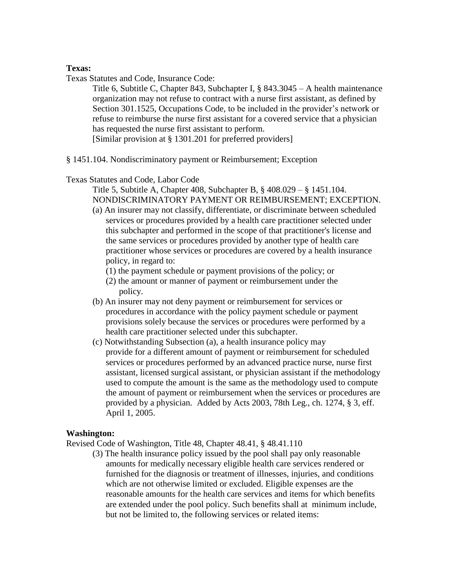# **Texas:**

Texas Statutes and Code, Insurance Code:

Title 6, Subtitle C, Chapter 843, Subchapter I, § 843.3045 – A health maintenance organization may not refuse to contract with a nurse first assistant, as defined by Section 301.1525, Occupations Code, to be included in the provider's network or refuse to reimburse the nurse first assistant for a covered service that a physician has requested the nurse first assistant to perform.

[Similar provision at § 1301.201 for preferred providers]

§ 1451.104. Nondiscriminatory payment or Reimbursement; Exception

## Texas Statutes and Code, Labor Code

Title 5, Subtitle A, Chapter 408, Subchapter B, § 408.029 – § 1451.104. NONDISCRIMINATORY PAYMENT OR REIMBURSEMENT; EXCEPTION.

- (a) An insurer may not classify, differentiate, or discriminate between scheduled services or procedures provided by a health care practitioner selected under this subchapter and performed in the scope of that practitioner's license and the same services or procedures provided by another type of health care practitioner whose services or procedures are covered by a health insurance policy, in regard to:
	- (1) the payment schedule or payment provisions of the policy; or
	- (2) the amount or manner of payment or reimbursement under the policy.
- (b) An insurer may not deny payment or reimbursement for services or procedures in accordance with the policy payment schedule or payment provisions solely because the services or procedures were performed by a health care practitioner selected under this subchapter.
- (c) Notwithstanding Subsection (a), a health insurance policy may provide for a different amount of payment or reimbursement for scheduled services or procedures performed by an advanced practice nurse, nurse first assistant, licensed surgical assistant, or physician assistant if the methodology used to compute the amount is the same as the methodology used to compute the amount of payment or reimbursement when the services or procedures are provided by a physician. Added by Acts 2003, 78th Leg., ch. 1274, § 3, eff. April 1, 2005.

## **Washington:**

Revised Code of Washington, Title 48, Chapter 48.41, § 48.41.110

(3) The health insurance policy issued by the pool shall pay only reasonable amounts for medically necessary eligible health care services rendered or furnished for the diagnosis or treatment of illnesses, injuries, and conditions which are not otherwise limited or excluded. Eligible expenses are the reasonable amounts for the health care services and items for which benefits are extended under the pool policy. Such benefits shall at minimum include, but not be limited to, the following services or related items: